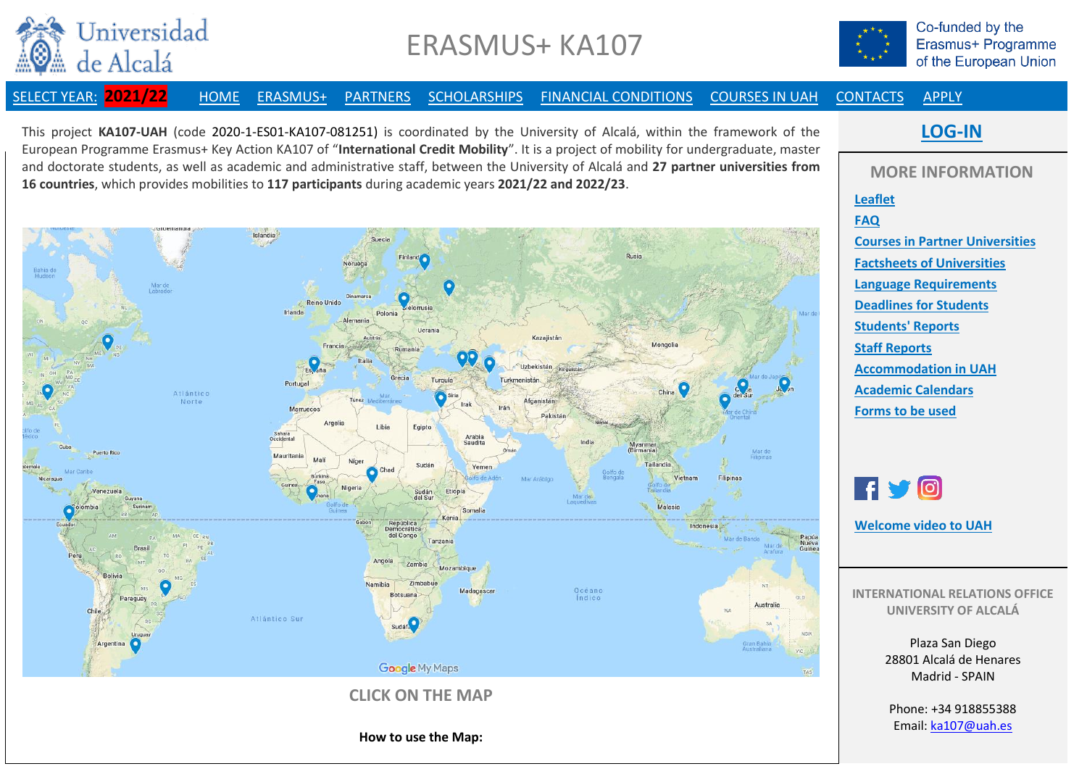

## ERASMUS+ KA107



Co-funded by the Erasmus+ Programme of the European Union

[SELECT YEAR:](http://www3.uah.es/ka107/SelectYear.pdf) **2021/22** [HOME](http://www3.uah.es/ka107/2021-22/MainPage.pdf) [ERASMUS+](http://www3.uah.es/ka107/2021-22/Erasmus+.pdf) [PARTNERS](http://www3.uah.es/ka107/2021-22/Partners.pdf) [SCHOLARSHIPS](http://www3.uah.es/ka107/2021-22/Scholarships.pdf) [FINANCIAL CONDITIONS](http://www3.uah.es/ka107/2021-22/FinancialConditions.pdf) [COURSES IN UAH](http://www3.uah.es/ka107/2021-22/Courses.pdf) [CONTACTS](http://www3.uah.es/ka107/2021-22/Contacts.pdf) [APPLY](http://www3.uah.es/ka107/2021-22/Apply.pdf)

This project **KA107-UAH** (code 2020-1-ES01-KA107-081251) is coordinated by the University of Alcalá, within the framework of the European Programme Erasmus+ Key Action KA107 of "**International Credit Mobility**". It is a project of mobility for undergraduate, master and doctorate students, as well as academic and administrative staff, between the University of Alcalá and **27 partner universities from 16 countries**, which provides mobilities to **117 participants** during academic years **2021/22 and 2022/23**.



**[LOG-IN](https://uah.yira.app/login)**

**MORE INFORMATION [Leaflet](http://www3.uah.es/ka107/2021-22/KA107-UAH-Leaflet-English.pdf) [FAQ](http://www3.uah.es/ka107/2021-22/FAQ.pdf) [Courses in Partner Universities](http://www3.uah.es/ka107/2021-22/CoursesPartners.pdf) [Factsheets of Universities](http://www3.uah.es/ka107/2021-22/Factsheets.pdf) [Language Requirements](http://www3.uah.es/ka107/2021-22/Languages.pdf) [Deadlines for Students](http://www3.uah.es/ka107/2021-22/Deadlines.pdf) [Students' Reports](http://www3.uah.es/ka107/StudentsReports.pdf) Staff [Reports](http://www3.uah.es/ka107/StaffReports.pdf) [Accommodation in UAH](http://www3.uah.es/ka107/Accommodation.pdf) [Academic Calendars](http://www3.uah.es/ka107/2021-22/AcademicCalendars.pdf) [Forms to be used](http://www3.uah.es/ka107/Forms.pdf)**

**UNIVERSITY OF ALCALÁ**

Plaza San Diego 28801 Alcalá de Henares Madrid - SPAIN

Phone: +34 918855388 Email: [ka107@uah.es](mailto:ka107@uah.es)